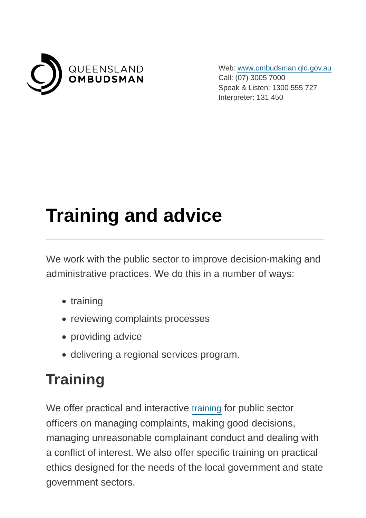

Web: [www.ombudsman.qld.gov.au](https://www.ombudsman.qld.gov.au/) Call: (07) 3005 7000 Speak & Listen: 1300 555 727 Interpreter: 131 450

# **Training and advice**

We work with the public sector to improve decision-making and administrative practices. We do this in a number of ways:

- training
- reviewing complaints processes
- providing advice
- delivering a regional services program.

# **Training**

We offer practical and interactive [training](https://www.ombudsman.qld.gov.au/training-and-education/training-courses) for public sector officers on managing complaints, making good decisions, managing unreasonable complainant conduct and dealing with a conflict of interest. We also offer specific training on practical ethics designed for the needs of the local government and state government sectors.